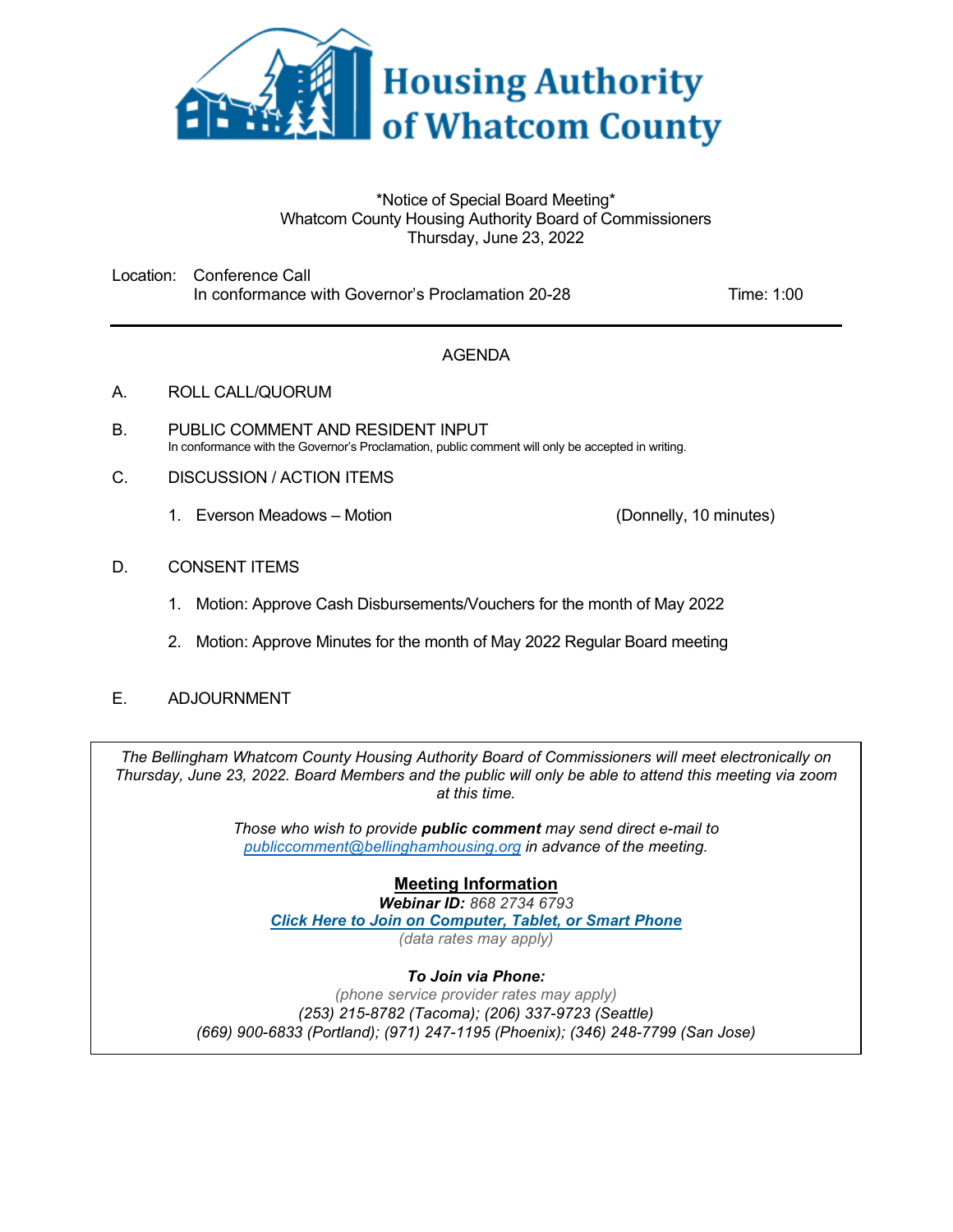

#### \*Notice of Special Board Meeting\* Whatcom County Housing Authority Board of Commissioners Thursday, June 23, 2022

Location: Conference Call In conformance with Governor's Proclamation 20-28 Time: 1:00

## AGENDA

- A. ROLL CALL/QUORUM
- B. PUBLIC COMMENT AND RESIDENT INPUT In conformance with the Governor's Proclamation, public comment will only be accepted in writing.
- C. DISCUSSION / ACTION ITEMS
	- 1. Everson Meadows Motion (Donnelly, 10 minutes)

### D. CONSENT ITEMS

- 1. Motion: Approve Cash Disbursements/Vouchers for the month of May 2022
- 2. Motion: Approve Minutes for the month of May 2022 Regular Board meeting
- E. ADJOURNMENT

*The Bellingham Whatcom County Housing Authority Board of Commissioners will meet electronically on Thursday, June 23, 2022. Board Members and the public will only be able to attend this meeting via zoom at this time.* 

> *Those who wish to provide public comment may send direct e-mail to [publiccomment@bellinghamhousing.org](mailto:publiccomment@bellinghamhousing.org) in advance of the meeting.*

## **Meeting Information**

*Webinar ID: 868 2734 6793 Click Here to [Join on Computer,](https://bellinghamhousing-org.zoom.us/j/86827346793) Tablet, or Smart Phone (data rates may apply)* 

#### *To Join via Phone:*

*(phone service provider rates may apply) (253) 215-8782 (Tacoma); (206) 337-9723 (Seattle) (669) 900-6833 (Portland); (971) 247-1195 (Phoenix); (346) 248-7799 (San Jose)*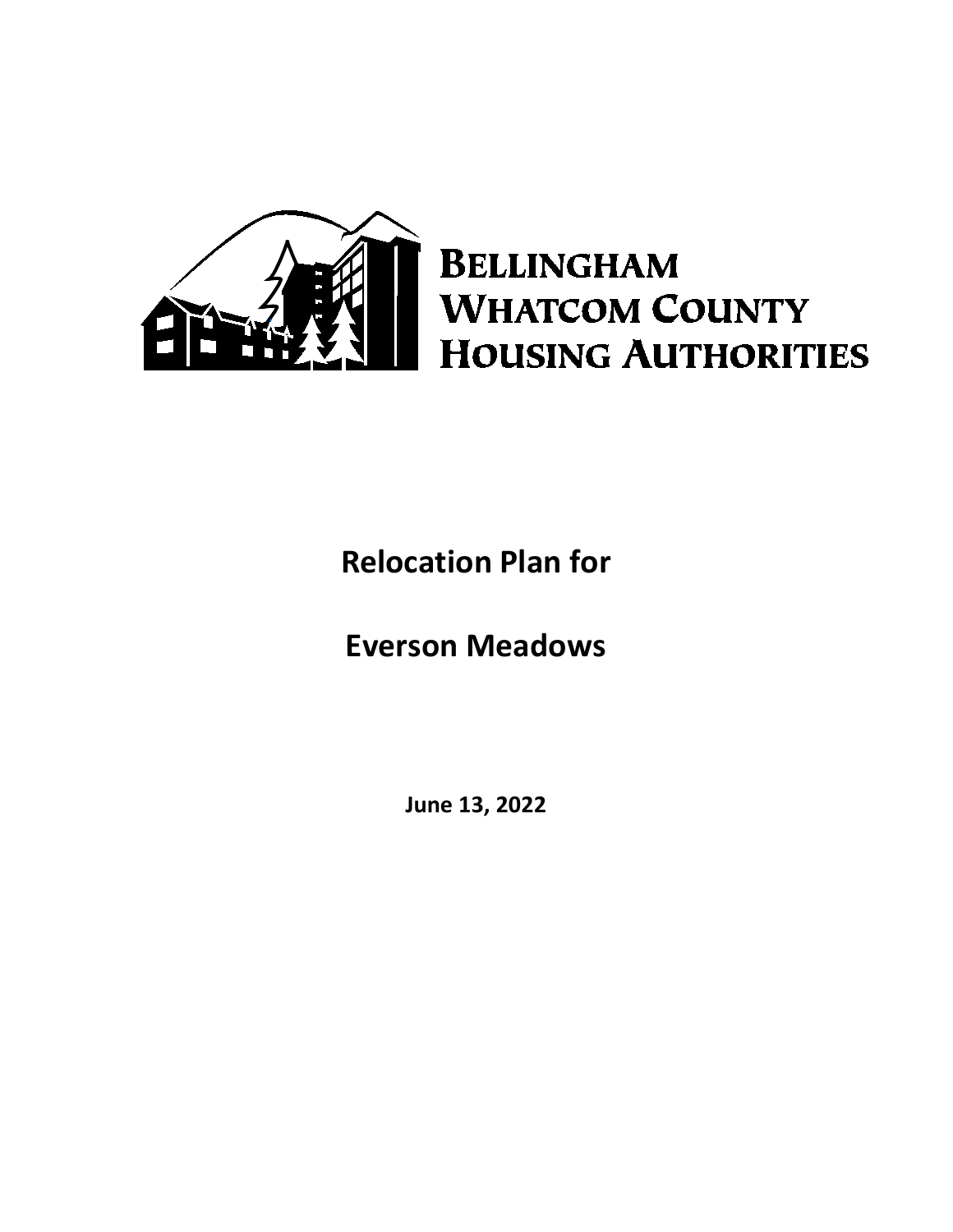

# **BELLINGHAM WHATCOM COUNTY HOUSING AUTHORITIES**

## **Relocation Plan for**

## **Everson Meadows**

**June 13, 2022**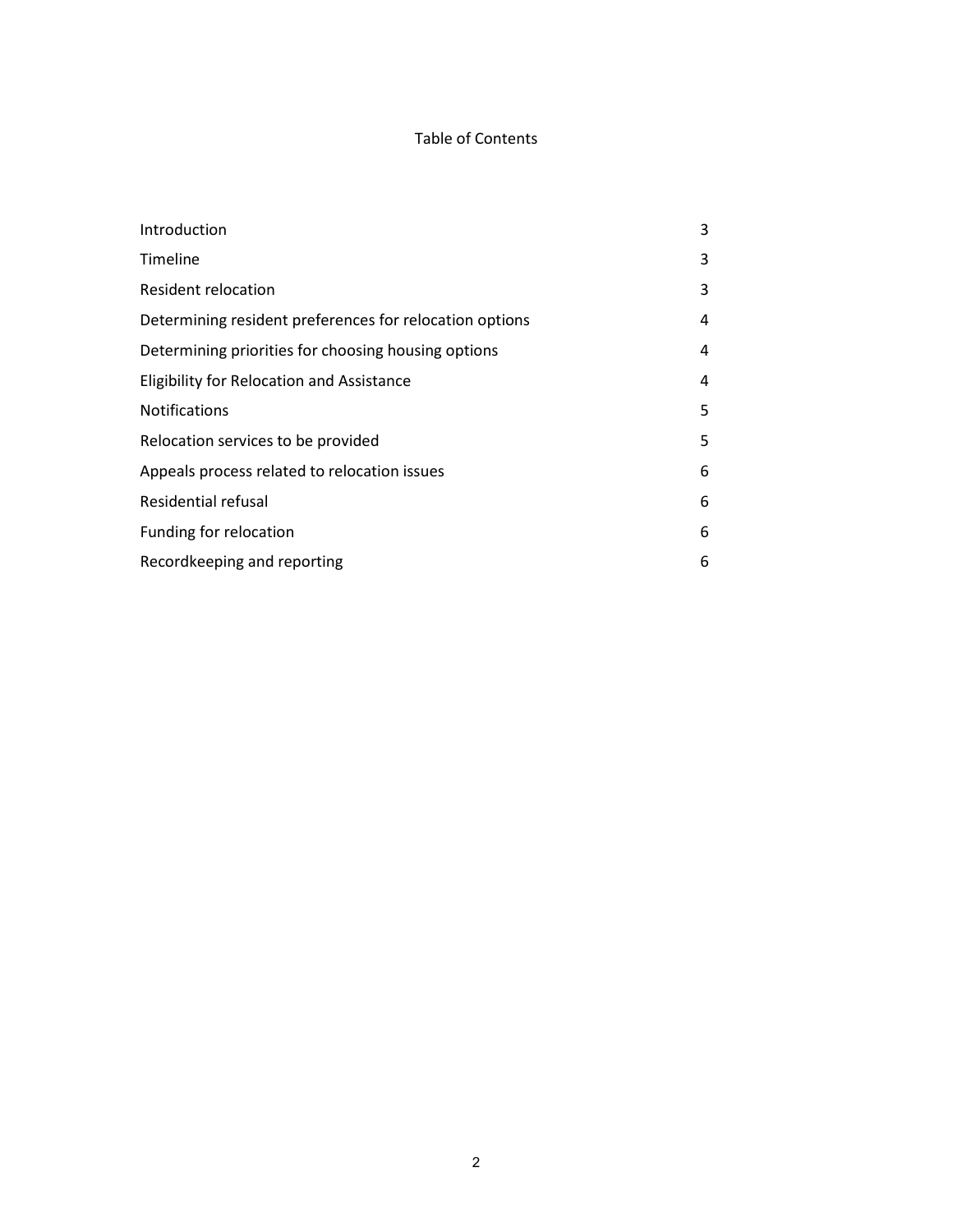## Table of Contents

| Introduction                                            | 3 |
|---------------------------------------------------------|---|
| Timeline                                                | 3 |
| <b>Resident relocation</b>                              | 3 |
| Determining resident preferences for relocation options | 4 |
| Determining priorities for choosing housing options     | 4 |
| Eligibility for Relocation and Assistance               | 4 |
| <b>Notifications</b>                                    | 5 |
| Relocation services to be provided                      | 5 |
| Appeals process related to relocation issues            | 6 |
| Residential refusal                                     | 6 |
| Funding for relocation                                  | 6 |
| Recordkeeping and reporting                             | 6 |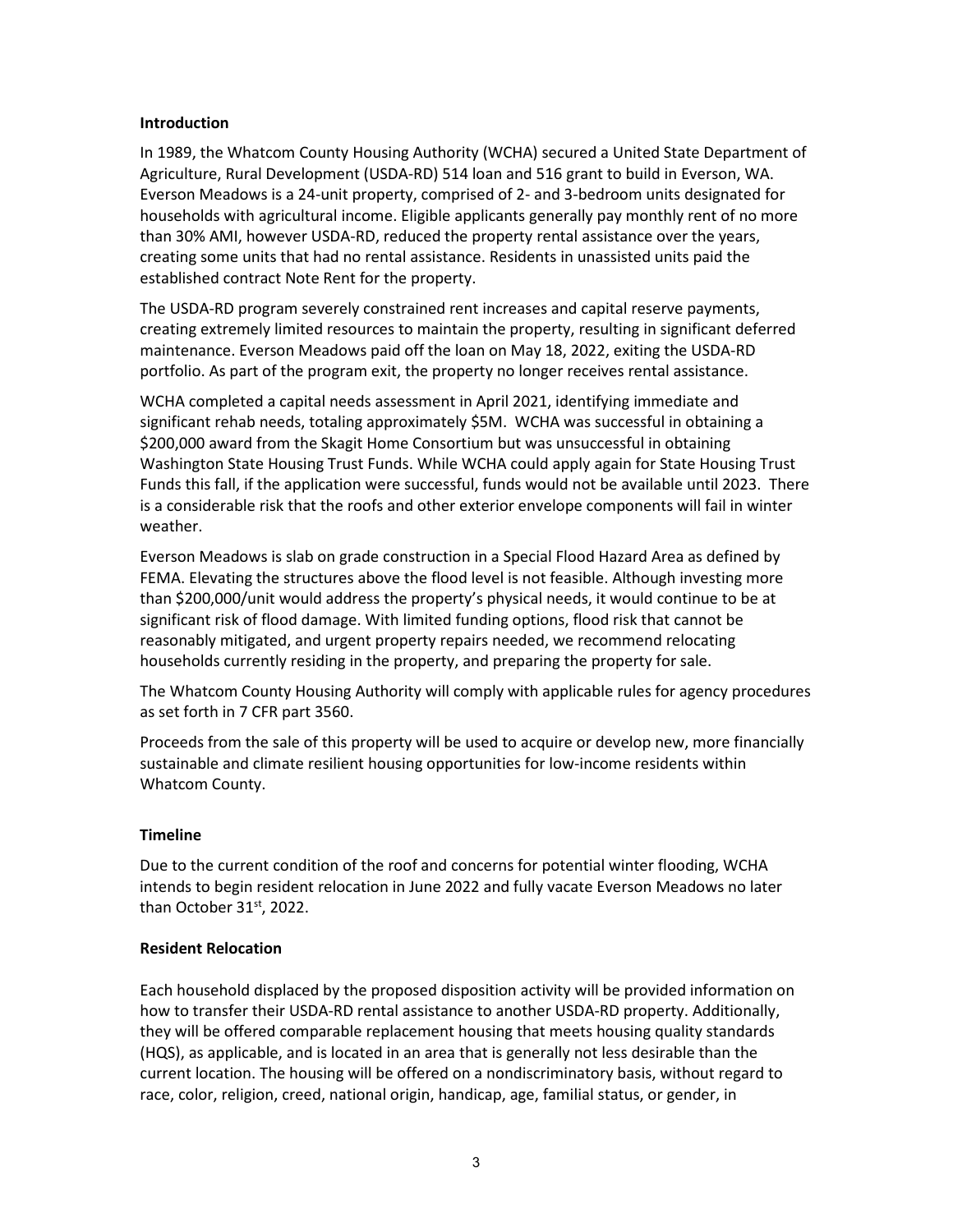#### **Introduction**

In 1989, the Whatcom County Housing Authority (WCHA) secured a United State Department of Agriculture, Rural Development (USDA-RD) 514 loan and 516 grant to build in Everson, WA. Everson Meadows is a 24-unit property, comprised of 2- and 3-bedroom units designated for households with agricultural income. Eligible applicants generally pay monthly rent of no more than 30% AMI, however USDA-RD, reduced the property rental assistance over the years, creating some units that had no rental assistance. Residents in unassisted units paid the established contract Note Rent for the property.

The USDA-RD program severely constrained rent increases and capital reserve payments, creating extremely limited resources to maintain the property, resulting in significant deferred maintenance. Everson Meadows paid off the loan on May 18, 2022, exiting the USDA-RD portfolio. As part of the program exit, the property no longer receives rental assistance.

WCHA completed a capital needs assessment in April 2021, identifying immediate and significant rehab needs, totaling approximately \$5M. WCHA was successful in obtaining a \$200,000 award from the Skagit Home Consortium but was unsuccessful in obtaining Washington State Housing Trust Funds. While WCHA could apply again for State Housing Trust Funds this fall, if the application were successful, funds would not be available until 2023. There is a considerable risk that the roofs and other exterior envelope components will fail in winter weather.

Everson Meadows is slab on grade construction in a Special Flood Hazard Area as defined by FEMA. Elevating the structures above the flood level is not feasible. Although investing more than \$200,000/unit would address the property's physical needs, it would continue to be at significant risk of flood damage. With limited funding options, flood risk that cannot be reasonably mitigated, and urgent property repairs needed, we recommend relocating households currently residing in the property, and preparing the property for sale.

The Whatcom County Housing Authority will comply with applicable rules for agency procedures as set forth in 7 CFR part 3560.

Proceeds from the sale of this property will be used to acquire or develop new, more financially sustainable and climate resilient housing opportunities for low-income residents within Whatcom County.

#### **Timeline**

Due to the current condition of the roof and concerns for potential winter flooding, WCHA intends to begin resident relocation in June 2022 and fully vacate Everson Meadows no later than October 31<sup>st</sup>, 2022.

#### **Resident Relocation**

Each household displaced by the proposed disposition activity will be provided information on how to transfer their USDA-RD rental assistance to another USDA-RD property. Additionally, they will be offered comparable replacement housing that meets housing quality standards (HQS), as applicable, and is located in an area that is generally not less desirable than the current location. The housing will be offered on a nondiscriminatory basis, without regard to race, color, religion, creed, national origin, handicap, age, familial status, or gender, in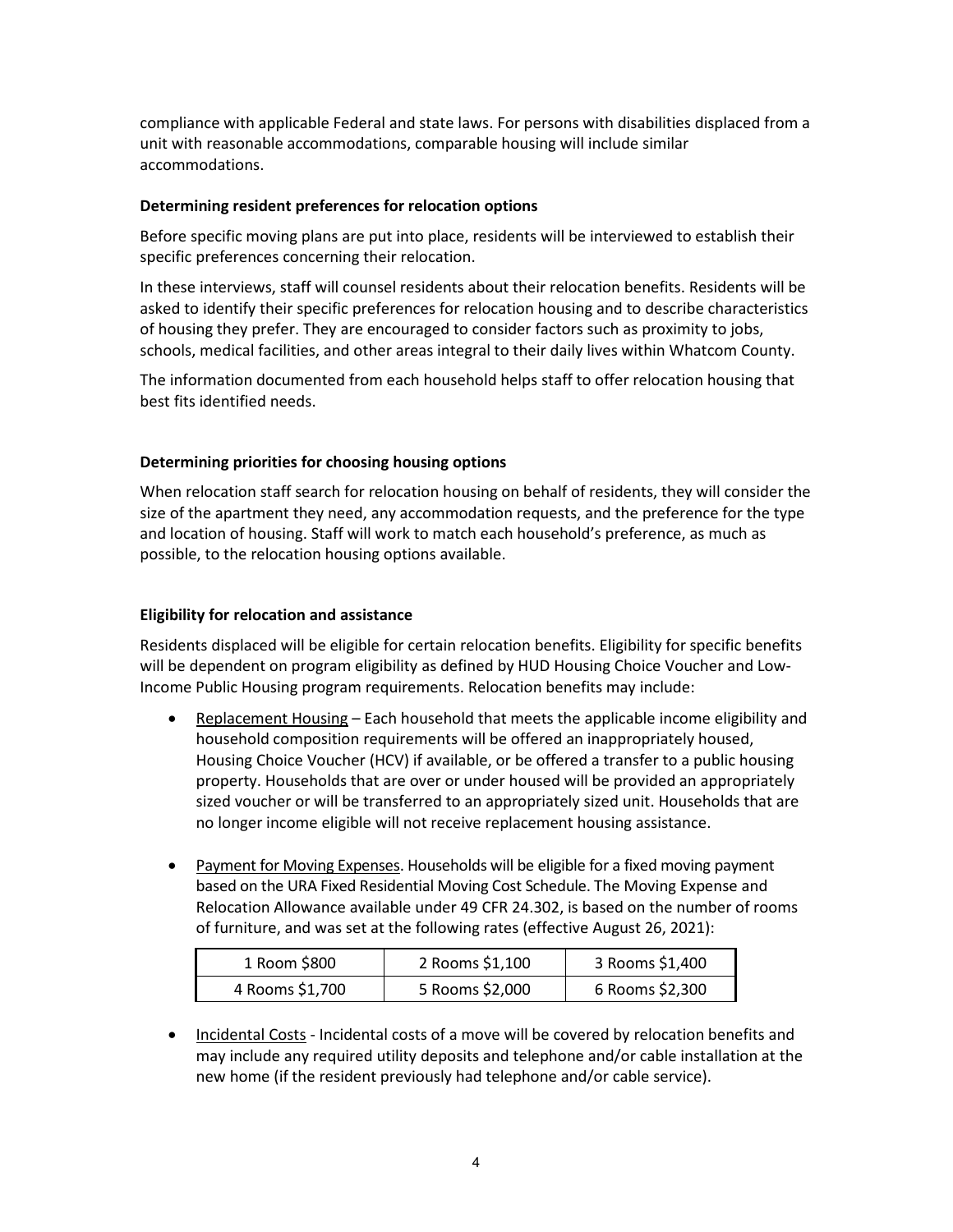compliance with applicable Federal and state laws. For persons with disabilities displaced from a unit with reasonable accommodations, comparable housing will include similar accommodations.

#### **Determining resident preferences for relocation options**

Before specific moving plans are put into place, residents will be interviewed to establish their specific preferences concerning their relocation.

In these interviews, staff will counsel residents about their relocation benefits. Residents will be asked to identify their specific preferences for relocation housing and to describe characteristics of housing they prefer. They are encouraged to consider factors such as proximity to jobs, schools, medical facilities, and other areas integral to their daily lives within Whatcom County.

The information documented from each household helps staff to offer relocation housing that best fits identified needs.

### **Determining priorities for choosing housing options**

When relocation staff search for relocation housing on behalf of residents, they will consider the size of the apartment they need, any accommodation requests, and the preference for the type and location of housing. Staff will work to match each household's preference, as much as possible, to the relocation housing options available.

## **Eligibility for relocation and assistance**

Residents displaced will be eligible for certain relocation benefits. Eligibility for specific benefits will be dependent on program eligibility as defined by HUD Housing Choice Voucher and Low-Income Public Housing program requirements. Relocation benefits may include:

- Replacement Housing Each household that meets the applicable income eligibility and household composition requirements will be offered an inappropriately housed, Housing Choice Voucher (HCV) if available, or be offered a transfer to a public housing property. Households that are over or under housed will be provided an appropriately sized voucher or will be transferred to an appropriately sized unit. Households that are no longer income eligible will not receive replacement housing assistance.
- Payment for Moving Expenses. Households will be eligible for a fixed moving payment based on the URA Fixed Residential Moving Cost Schedule. The Moving Expense and Relocation Allowance available under 49 CFR 24.302, is based on the number of rooms of furniture, and was set at the following rates (effective August 26, 2021):

| 1 Room \$800    | 2 Rooms \$1,100 | 3 Rooms \$1,400 |
|-----------------|-----------------|-----------------|
| 4 Rooms \$1,700 | 5 Rooms \$2,000 | 6 Rooms \$2,300 |

• Incidental Costs - Incidental costs of a move will be covered by relocation benefits and may include any required utility deposits and telephone and/or cable installation at the new home (if the resident previously had telephone and/or cable service).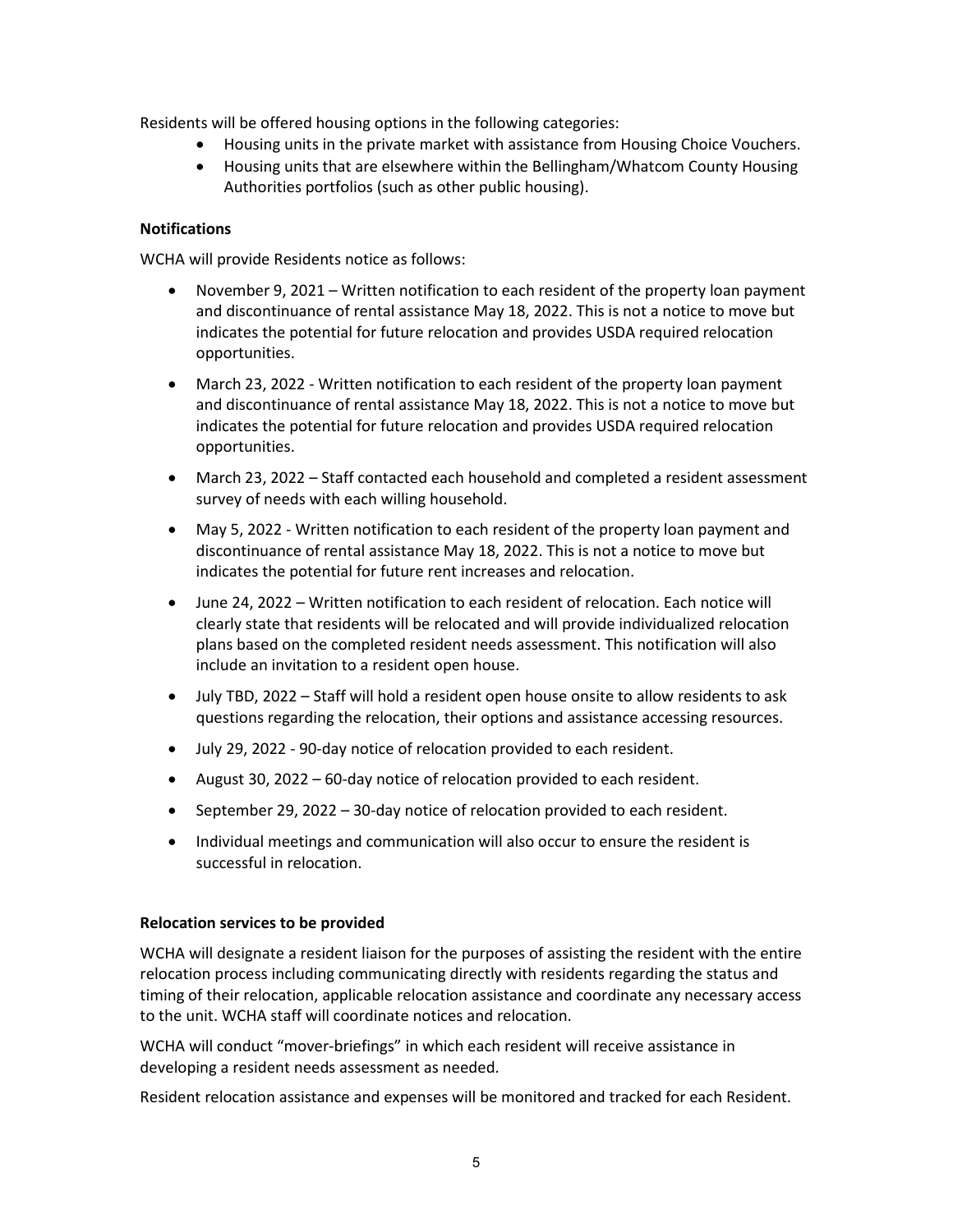Residents will be offered housing options in the following categories:

- Housing units in the private market with assistance from Housing Choice Vouchers.
- Housing units that are elsewhere within the Bellingham/Whatcom County Housing Authorities portfolios (such as other public housing).

#### **Notifications**

WCHA will provide Residents notice as follows:

- November 9, 2021 Written notification to each resident of the property loan payment and discontinuance of rental assistance May 18, 2022. This is not a notice to move but indicates the potential for future relocation and provides USDA required relocation opportunities.
- March 23, 2022 Written notification to each resident of the property loan payment and discontinuance of rental assistance May 18, 2022. This is not a notice to move but indicates the potential for future relocation and provides USDA required relocation opportunities.
- March 23, 2022 Staff contacted each household and completed a resident assessment survey of needs with each willing household.
- May 5, 2022 Written notification to each resident of the property loan payment and discontinuance of rental assistance May 18, 2022. This is not a notice to move but indicates the potential for future rent increases and relocation.
- June 24, 2022 Written notification to each resident of relocation. Each notice will clearly state that residents will be relocated and will provide individualized relocation plans based on the completed resident needs assessment. This notification will also include an invitation to a resident open house.
- July TBD, 2022 Staff will hold a resident open house onsite to allow residents to ask questions regarding the relocation, their options and assistance accessing resources.
- July 29, 2022 90-day notice of relocation provided to each resident.
- August 30, 2022 60-day notice of relocation provided to each resident.
- September 29, 2022 30-day notice of relocation provided to each resident.
- Individual meetings and communication will also occur to ensure the resident is successful in relocation.

#### **Relocation services to be provided**

WCHA will designate a resident liaison for the purposes of assisting the resident with the entire relocation process including communicating directly with residents regarding the status and timing of their relocation, applicable relocation assistance and coordinate any necessary access to the unit. WCHA staff will coordinate notices and relocation.

WCHA will conduct "mover-briefings" in which each resident will receive assistance in developing a resident needs assessment as needed.

Resident relocation assistance and expenses will be monitored and tracked for each Resident.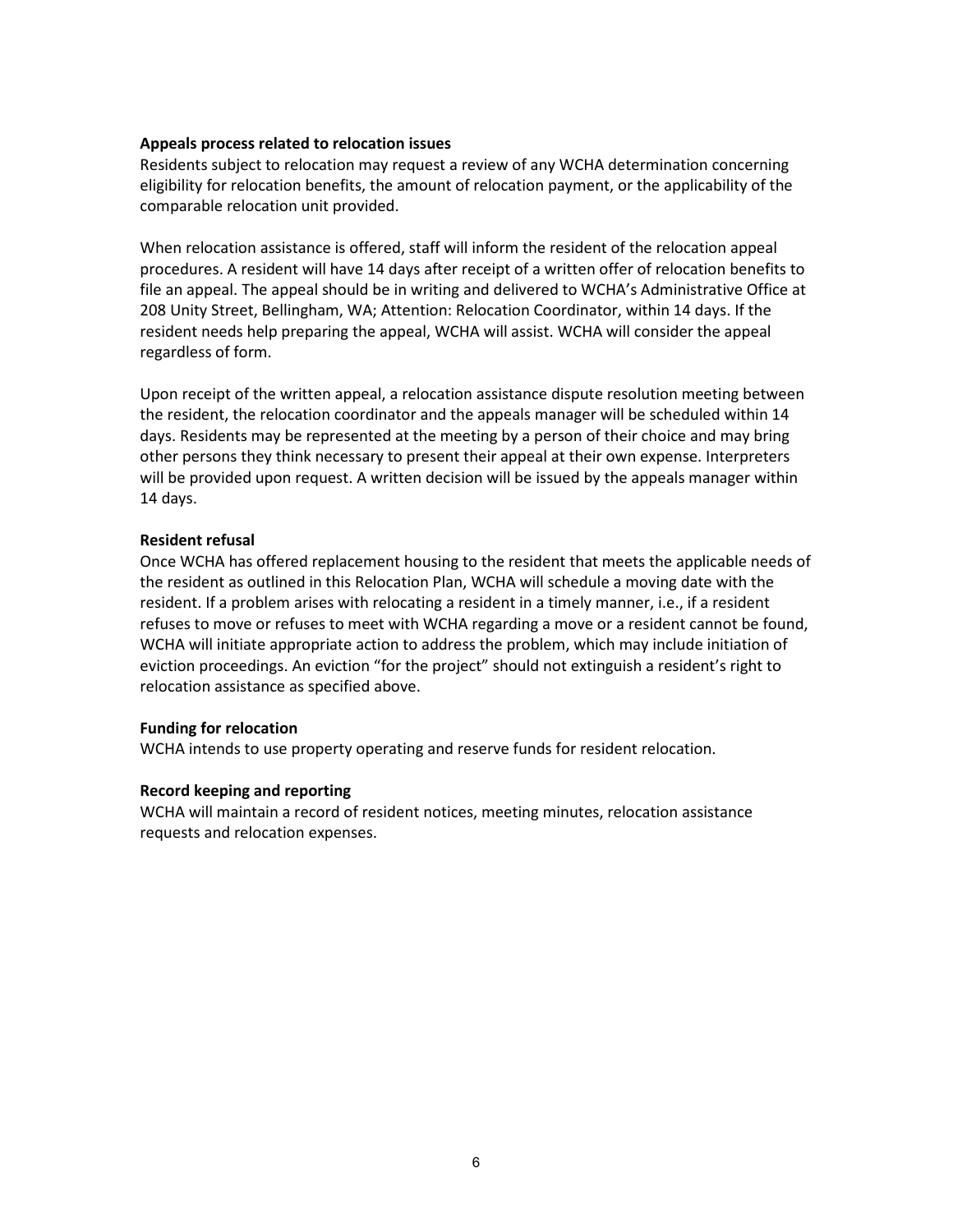#### **Appeals process related to relocation issues**

Residents subject to relocation may request a review of any WCHA determination concerning eligibility for relocation benefits, the amount of relocation payment, or the applicability of the comparable relocation unit provided.

When relocation assistance is offered, staff will inform the resident of the relocation appeal procedures. A resident will have 14 days after receipt of a written offer of relocation benefits to file an appeal. The appeal should be in writing and delivered to WCHA's Administrative Office at 208 Unity Street, Bellingham, WA; Attention: Relocation Coordinator, within 14 days. If the resident needs help preparing the appeal, WCHA will assist. WCHA will consider the appeal regardless of form.

Upon receipt of the written appeal, a relocation assistance dispute resolution meeting between the resident, the relocation coordinator and the appeals manager will be scheduled within 14 days. Residents may be represented at the meeting by a person of their choice and may bring other persons they think necessary to present their appeal at their own expense. Interpreters will be provided upon request. A written decision will be issued by the appeals manager within 14 days.

#### **Resident refusal**

Once WCHA has offered replacement housing to the resident that meets the applicable needs of the resident as outlined in this Relocation Plan, WCHA will schedule a moving date with the resident. If a problem arises with relocating a resident in a timely manner, i.e., if a resident refuses to move or refuses to meet with WCHA regarding a move or a resident cannot be found, WCHA will initiate appropriate action to address the problem, which may include initiation of eviction proceedings. An eviction "for the project" should not extinguish a resident's right to relocation assistance as specified above.

#### **Funding for relocation**

WCHA intends to use property operating and reserve funds for resident relocation.

#### **Record keeping and reporting**

WCHA will maintain a record of resident notices, meeting minutes, relocation assistance requests and relocation expenses.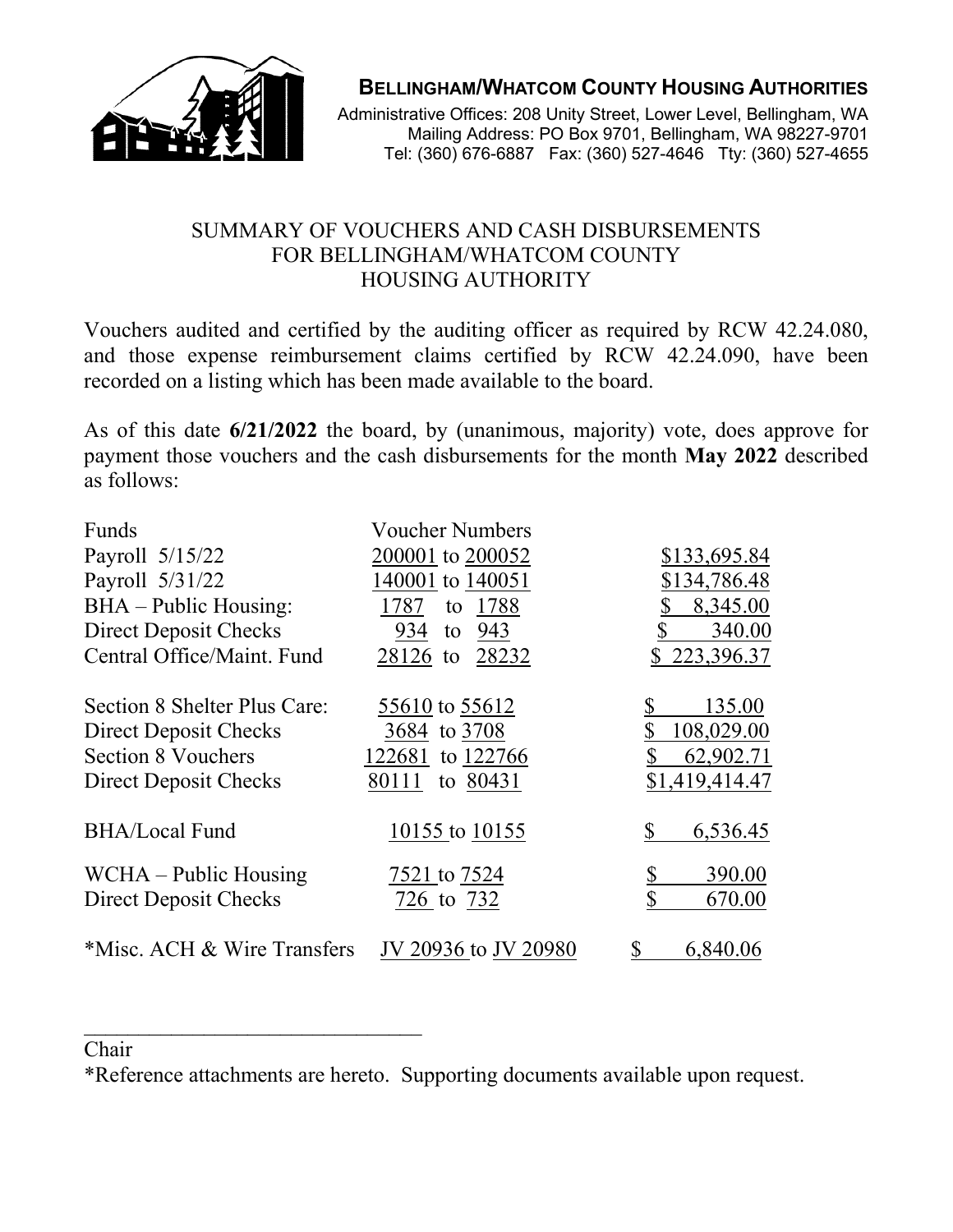

## **BELLINGHAM/WHATCOM COUNTY HOUSING AUTHORITIES**

Administrative Offices: 208 Unity Street, Lower Level, Bellingham, WA Mailing Address: PO Box 9701, Bellingham, WA 98227-9701 Tel: (360) 676-6887 Fax: (360) 527-4646 Tty: (360) 527-4655

## SUMMARY OF VOUCHERS AND CASH DISBURSEMENTS FOR BELLINGHAM/WHATCOM COUNTY HOUSING AUTHORITY

Vouchers audited and certified by the auditing officer as required by RCW 42.24.080, and those expense reimbursement claims certified by RCW 42.24.090, have been recorded on a listing which has been made available to the board.

As of this date **6/21/2022** the board, by (unanimous, majority) vote, does approve for payment those vouchers and the cash disbursements for the month **May 2022** described as follows:

| Funds                        | <b>Voucher Numbers</b> |                |
|------------------------------|------------------------|----------------|
| Payroll 5/15/22              | 200001 to 200052       | \$133,695.84   |
| Payroll 5/31/22              | 140001 to 140051       | \$134,786.48   |
| $BHA$ – Public Housing:      | 1787<br>1788<br>to     | 8,345.00       |
| Direct Deposit Checks        | 934 to 943             | \$<br>340.00   |
| Central Office/Maint. Fund   | 28126 to 28232         | \$223,396.37   |
| Section 8 Shelter Plus Care: | 55610 to 55612         | 135.00         |
| Direct Deposit Checks        | 3684 to 3708           | 108,029.00     |
| <b>Section 8 Vouchers</b>    | 122681 to 122766       | 62,902.71      |
| Direct Deposit Checks        | to 80431<br>80111      | \$1,419,414.47 |
| <b>BHA/Local Fund</b>        | 10155 to 10155         | 6,536.45<br>S  |
| WCHA – Public Housing        | 7521 to 7524           | 390.00         |
| Direct Deposit Checks        | 726 to 732             | \$<br>670.00   |
| *Misc. ACH & Wire Transfers  | JV 20936 to JV 20980   | \$<br>6,840.06 |

### Chair

\_\_\_\_\_\_\_\_\_\_\_\_\_\_\_\_\_\_\_\_\_\_\_\_\_\_\_\_\_\_\_

\*Reference attachments are hereto. Supporting documents available upon request.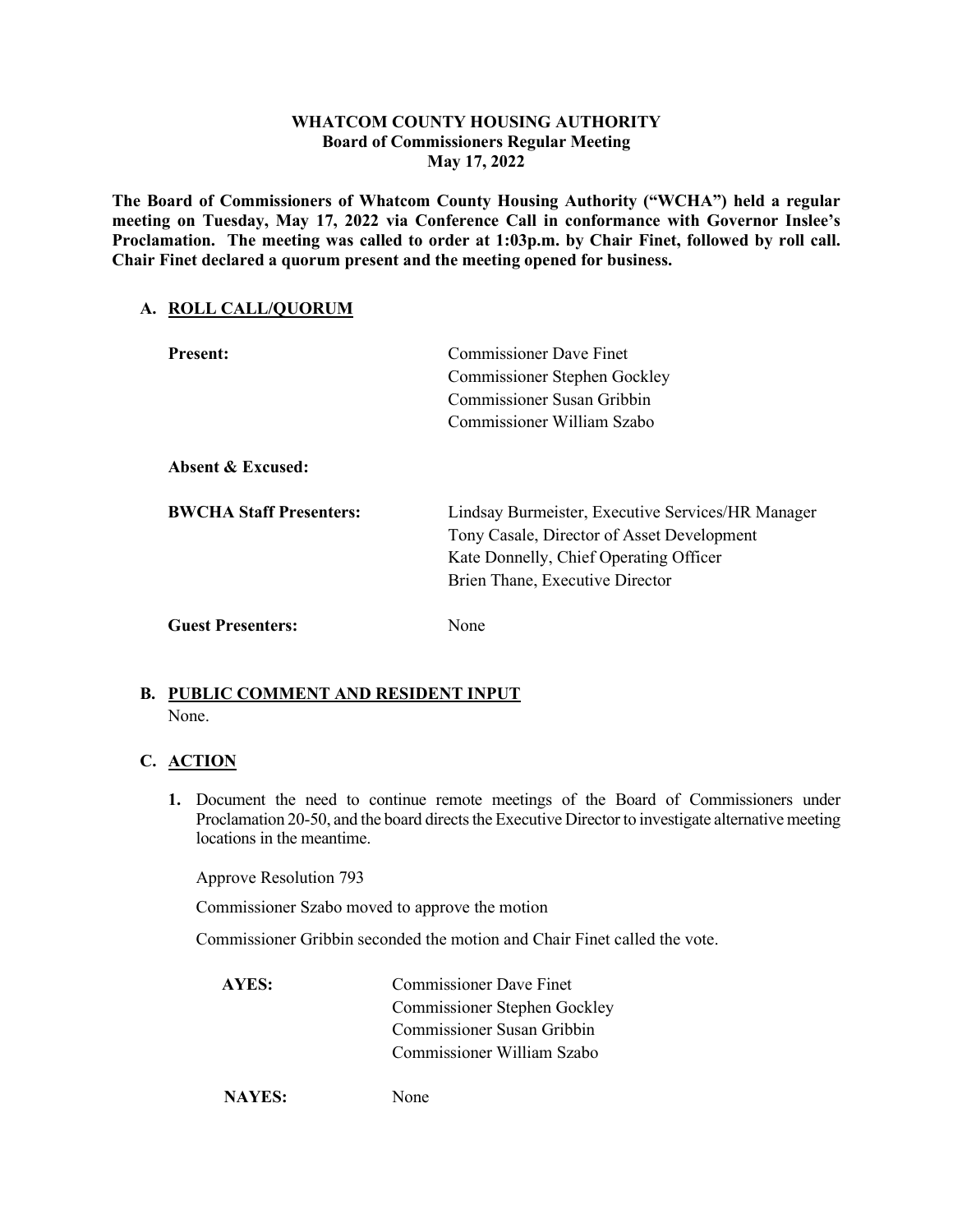#### **WHATCOM COUNTY HOUSING AUTHORITY Board of Commissioners Regular Meeting May 17, 2022**

**The Board of Commissioners of Whatcom County Housing Authority ("WCHA") held a regular meeting on Tuesday, May 17, 2022 via Conference Call in conformance with Governor Inslee's Proclamation. The meeting was called to order at 1:03p.m. by Chair Finet, followed by roll call. Chair Finet declared a quorum present and the meeting opened for business.**

#### **A. ROLL CALL/QUORUM**

| <b>Present:</b>                | <b>Commissioner Dave Finet</b><br>Commissioner Stephen Gockley<br>Commissioner Susan Gribbin<br>Commissioner William Szabo                                                   |
|--------------------------------|------------------------------------------------------------------------------------------------------------------------------------------------------------------------------|
| Absent & Excused:              |                                                                                                                                                                              |
| <b>BWCHA Staff Presenters:</b> | Lindsay Burmeister, Executive Services/HR Manager<br>Tony Casale, Director of Asset Development<br>Kate Donnelly, Chief Operating Officer<br>Brien Thane, Executive Director |
| <b>Guest Presenters:</b>       | None                                                                                                                                                                         |

## **B. PUBLIC COMMENT AND RESIDENT INPUT**

None.

#### **C. ACTION**

**1.** Document the need to continue remote meetings of the Board of Commissioners under Proclamation 20-50, and the board directs the Executive Director to investigate alternative meeting locations in the meantime.

Approve Resolution 793

Commissioner Szabo moved to approve the motion

Commissioner Gribbin seconded the motion and Chair Finet called the vote.

| AYES: | <b>Commissioner Dave Finet</b> |
|-------|--------------------------------|
|       | Commissioner Stephen Gockley   |
|       | Commissioner Susan Gribbin     |
|       | Commissioner William Szabo     |
|       |                                |

**NAYES:** None